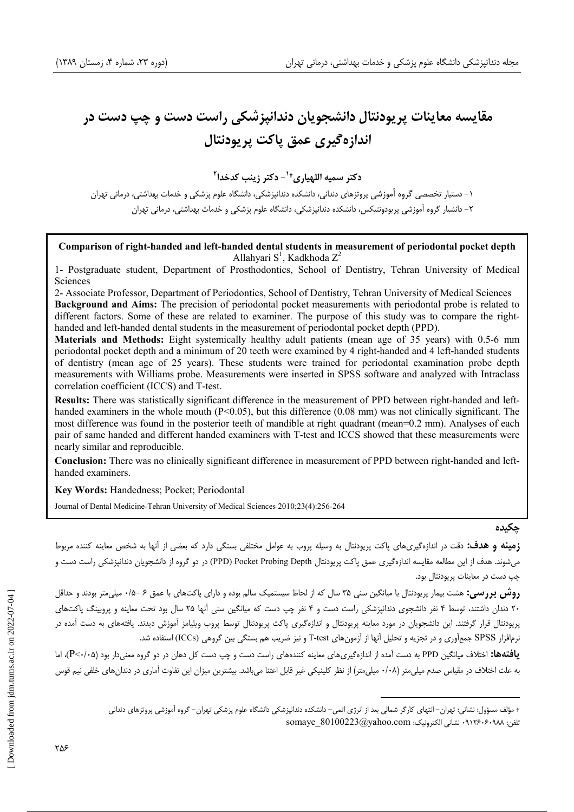# هقایسه معاینات پریودنتال دانشجویان دندانپزشکی راست دست و چپ دست در اندازهگیری عمق پاکت پریودنتال

**(!)+,- -)& \$ <sup>1</sup> /\$ 0# \$** - **<sup>2</sup>**

۱– دستیار تخصصی گروه اُموزشی پروتزهای دندانی، دانشکده دندانپزشکی، دانشگاه علوم پزشکی و خدمات بهداشتی، درمانی تهران ۲– دانشیار گروه آموزشی پریودونتیکس، دانشکده دندانپزشکی، دانشگاه علوم پزشکی و خدمات بهداشتی، درمانی تهران

### **Comparison of right-handed and left-handed dental students in measurement of periodontal pocket depth**  Allahyari  $S^1$ , Kadkhoda  $Z^2$

1- Postgraduate student, Department of Prosthodontics, School of Dentistry, Tehran University of Medical **Sciences** 

2- Associate Professor, Department of Periodontics, School of Dentistry, Tehran University of Medical Sciences **Background and Aims:** The precision of periodontal pocket measurements with periodontal probe is related to different factors. Some of these are related to examiner. The purpose of this study was to compare the righthanded and left-handed dental students in the measurement of periodontal pocket depth (PPD).

**Materials and Methods:** Eight systemically healthy adult patients (mean age of 35 years) with 0.5-6 mm periodontal pocket depth and a minimum of 20 teeth were examined by 4 right-handed and 4 left-handed students of dentistry (mean age of 25 years). These students were trained for periodontal examination probe depth measurements with Williams probe. Measurements were inserted in SPSS software and analyzed with Intraclass correlation coefficient (ICCS) and T-test.

**Results:** There was statistically significant difference in the measurement of PPD between right-handed and lefthanded examiners in the whole mouth (P<0.05), but this difference (0.08 mm) was not clinically significant. The most difference was found in the posterior teeth of mandible at right quadrant (mean=0.2 mm). Analyses of each pair of same handed and different handed examiners with T-test and ICCS showed that these measurements were nearly similar and reproducible.

**Conclusion:** There was no clinically significant difference in measurement of PPD between right-handed and lefthanded examiners.

**Key Words:** Handedness; Pocket; Periodontal

Journal of Dental Medicine-Tehran University of Medical Sciences 2010;23(4):256-264

#### حكىدە

**زمینه و هدف:** دقت در اندازهگیریهای پاکت پریودنتال به وسیله پروب به عوامل مختلفی بستگی دارد که بعضی از آنها به شخص معاینه کننده مربوط میشوند. هدف از این مطالعه مقایسه اندازهگیری عمق پاکت پریودنتال PPD) Pocket Probing Depth) در دو گروه از دانشجویان دندانپزشکی راست دست و چپ دست در معاينات پريودنتال بود.

**روش بررسی:** هشت بیمار پریودنتال با میانگین سنی ۳۵ سال که از لحاظ سیستمیک سالم بوده و دارای پاکتهای با عمق ۶ –۰/۵ میلیمتر بودند و حداقل ۲۰ دندان داشتند، توسط ۴ نفر دانشجوی دندانپزشکی راست دست و ۴ نفر چپ دست که میانگین سنی اُنها ۲۵ سال بود تحت معاینه و پروبینگ پاکتهای پریودنتال قرار گرفتند. این دانشجویان در مورد معاینه پریودنتال پرودنتال توسط پروب ویلیامز آموزش دیدند. یافتههای به دست آمده در نرمافزار SPSS جمعآوری و در تجزیه و تحلیل آنها از آزمونهای T-test و نیز ضریب هم بستگی بین گروهی (ICCs) استفاده شد.

ي**افتهها:** اختلاف ميانگين PPD به دست آمده از اندازهگيرىهاى معاينه كنندههاى راست دست و چپ دست كل دهان در دو گروه معنىدار بود (P<-(·۵)، اما به علت اختلاف در مقياس صدم ميلىمتر (٠/٠٨ ميلىمتر) از نظر كلينيكى غير قابل اعتنا مىباشد. بيشترين ميزان اين تفاوت أمارى در دندانهاى خلفى نيم قوس

<sup>+</sup> مؤلف مسؤول: نشانی: تهران– انتهای کارگر شمالی بعد از انرژی اتمی– دانشکده دندانپزشکی دانشگاه علوم پزشکی تهران– گروه أموزشی پروتزهای دندانی  $\sigma$ somaye\_80100223@yahoo.com : تشانى الكترونيك:  $\alpha$ .117۶۰۶۰۹۸۸ :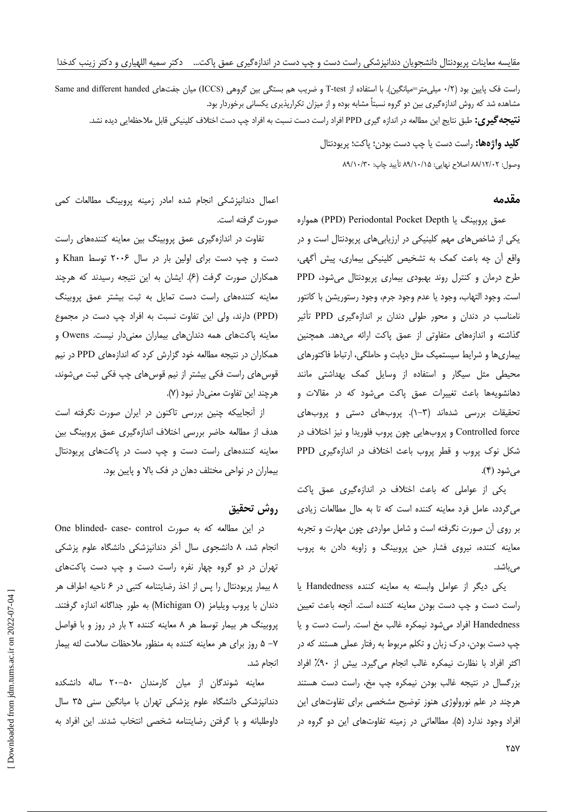راست فک پایین بود (۰/۲ میلی متر=میانگین). با استفاده از T-test و ضریب هم بستگی بین گروهی (ICCS) میان جفتهای Same and different handed مشاهده شد که روش اندازهگیری بین دو گروه نسبتاً مشابه بوده و از میزان تکرارپذیری یکسانی برخوردار بود. **نتیجه گیری:** طبق نتایج این مطالعه در اندازه گیری PPD افراد راست دست نسبت به افراد چپ دست اختلاف کلینیکی قابل ملاحظهایی دیده نشد.

> **کلید واژهها:** راست دست یا چپ دست بودن؛ پاکت؛ پریودنتال وصول: ٨٩/١٢/١٢ اصلاح نهايي: ٨٩/١٠/١٥ تأييد چاپ: ٨٩/١٠/٣٠

#### مقدمه

عمق پروبینگ یا Periodontal Pocket Depth) همواره یکی از شاخصهای مهم کلینیکی در ارزیابیهای پریودنتال است و در واقع أن چه باعث كمك به تشخيص كلينيكي بيماري، پيش أگهي، طرح درمان و کنترل روند بهبودی بیماری پریودنتال می شود، PPD است. وجود التهاب، وجود يا عدم وجود جرم، وجود رستوريشن با كانتور نامناسب در دندان و محور طولی دندان بر اندازهگیری PPD تأثیر گذاشته و اندازههای متفاوتی از عمق پاکت ارائه میدهد. همچنین بیماریها و شرایط سیستمیک مثل دیابت و حاملگی، ارتباط فاکتورهای محیطی مثل سیگار و استفاده از وسایل کمک بهداشتی مانند دهانشویهها باعث تغییرات عمق پاکت میشود که در مقالات و تحقیقات بررسی شدهاند (۳–۱). پروبهای دستی و پروبهای Controlled force و پروبهایی چون پروب فلوریدا و نیز اختلاف در شکل نوک پروب و قطر پروب باعث اختلاف در اندازهگیری PPD می شود (۴).

یکی از عواملی که باعث اختلاف در اندازهگیری عمق پاکت میگردد، عامل فرد معاینه کننده است که تا به حال مطالعات زیادی بر روی آن صورت نگرفته است و شامل مواردی چون مهارت و تجربه معاینه کننده، نیروی فشار حین پروبینگ و زاویه دادن به پروب مے باشد.

یکی دیگر از عوامل وابسته به معاینه کننده Handedness یا راست دست و چپ دست بودن معاینه کننده است. آنچه باعث تعیین Handedness افراد میشود نیمکره غالب مخ است. راست دست و یا چپ دست بودن، درک زبان و تکلم مربوط به رفتار عملی هستند که در اکثر افراد با نظارت نیمکره غالب انجام میگیرد. بیش از ۹۰٪ افراد بزرگسال در نتيجه غالب بودن نيمكره چپ مخ، راست دست هستند هرچند در علم نورولوژی هنوز توضیح مشخصی برای تفاوتهای این افراد وجود ندارد (۵). مطالعاتی در زمینه تفاوتهای این دو گروه در

اعمال دندانپزشکی انجام شده امادر زمینه پروبینگ مطالعات کمی صورت گرفته است.

تفاوت در اندازهگیری عمق پروبینگ بین معاینه کنندههای راست دست و چپ دست برای اولین بار در سال ۲۰۰۶ توسط Khan و همکاران صورت گرفت (۶). ایشان به این نتیجه رسیدند که هرچند معاینه کنندههای راست دست تمایل به ثبت بیشتر عمق پروبینگ (PPD) دارند، ولی این تفاوت نسبت به افراد چپ دست در مجموع معاینه پاکتهای همه دندانهای بیماران معنیدار نیست. Owens و همکاران در نتیجه مطالعه خود گزارش کرد که اندازههای PPD در نیم قوسهای راست فکی بیشتر از نیم قوسهای چپ فکی ثبت میشوند، هرچند این تفاوت معنیدار نبود (٧).

از انجاییکه چنین بررسی تاکنون در ایران صورت نگرفته است هدف از مطالعه حاضر بررسی اختلاف اندازهگیری عمق پروبینگ بین معاینه کنندههای راست دست و چپ دست در پاکتهای پرپودنتال بیماران در نواحی مختلف دهان در فک بالا و پایین بود.

# روش تحقيق

در این مطالعه که به صورت One blinded- case- control انجام شد، ۸ دانشجوی سال آخر دندانپزشکی دانشگاه علوم پزشکی تهران در دو گروه چهار نفره راست دست و چپ دست پاکتهای ٨ بيمار پريودنتال را پس از اخذ رضايتنامه كتبي در ۶ ناحيه اطراف هر دندان با پروب ویلیامز (Michigan O) به طور جداگانه اندازه گرفتند. پروبینگ هر بیمار توسط هر ۸ معاینه کننده ۲ بار در روز و با فواصل V− ۵ روز برای هر معاینه کننده به منظور ملاحظات سلامت لثه بیمار انحام شد.

معاینه شوندگان از میان کارمندان ۵۰–۲۰ ساله دانشکده دندانپزشکی دانشگاه علوم پزشکی تهران با میانگین سنی ۳۵ سال داوطلبانه وبا گرفتن رضایتنامه شخصی انتخاب شدند. این افراد به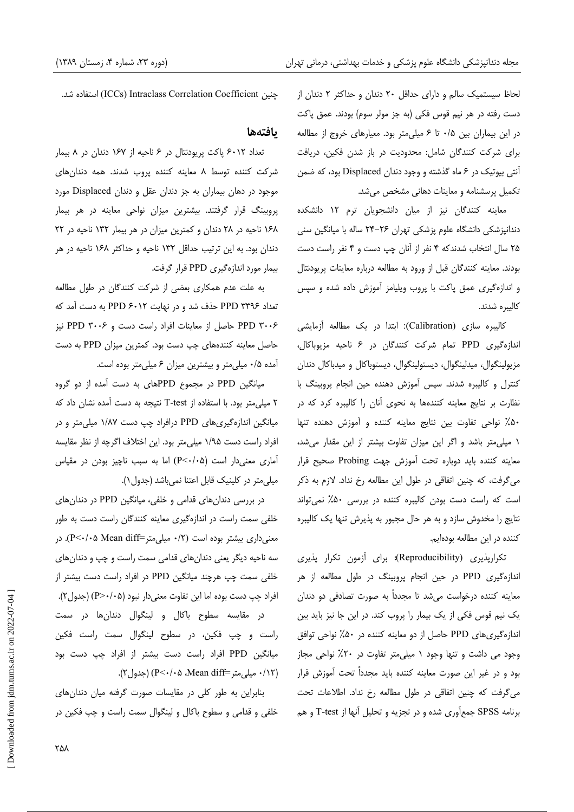لحاظ سیستمیک سالم و دارای حداقل ٢٠ دندان و حداکثر ٢ دندان از دست رفته در هر نيم قوس فكي (به جز مولر سوم) بودند. عمق پاكت در این بیماران بین ۰/۵ تا ۶ میلی متر بود. معیارهای خروج از مطالعه برای شرکت کنندگان شامل: محدودیت در باز شدن فکین، دریافت آنتی بیوتیک در ۶ ماه گذشته و وجود دندان Displaced بود، که ضمن تکمیل پرسشنامه و معاینات دهانی مشخص می شد.

معاينه كنندگان نيز از ميان دانشجويان ترم ١٢ دانشكده دندانیزشکی دانشگاه علوم پزشکی تهران ۲۶–۲۴ ساله با میانگین سنی ۲۵ سال انتخاب شدندکه ۴ نفر از آنان چپ دست و ۴ نفر راست دست بودند. معاینه کنندگان قبل از ورود به مطالعه درباره معاینات پریودنتال و اندازهگیری عمق پاکت با پروب ویلیامز آموزش داده شده و سپس كاليبره شدند.

كاليبره سازي (Calibration): ابتدا در يک مطالعه آزمايشي اندازهگیری PPD تمام شرکت کنندگان در ۶ ناحیه مزیوباکال، مزيولينگوال، ميدلينگوال، ديستولينگوال، ديستوباكال و ميدباكال دندان کنترل و کالیبره شدند. سپس آموزش دهنده حین انجام پروبینگ با نظارت بر نتایج معاینه کنندهها به نحوی آنان را کالیبره کرد که در ۵۰٪ نواحی تفاوت بین نتایج معاینه کننده و آموزش دهنده تنها ١ ميلي متر باشد و اگر اين ميزان تفاوت بيشتر از اين مقدار مي شد، معاينه كننده بايد دوباره تحت أموزش جهت Probing صحيح قرار میگرفت، که چنین اتفاقی در طول این مطالعه رخ نداد. لازم به ذکر است که راست دست بودن کالیبره کننده در بررسی ۵۰٪ نمی تواند نتایج را مخدوش سازد و به هر حال مجبور به پذیرش تنها یک کالیبره كننده در اين مطالعه بودهايم.

تكرارپذيرى (Reproducibility): براى آزمون تكرار پذيرى اندازهگیری PPD در حین انجام پروبینگ در طول مطالعه از هر معاینه کننده درخواست می شد تا مجدداً به صورت تصادفی دو دندان یک نیم قوس فکی از یک بیمار را پروب کند. در این جا نیز باید بین اندازهگیری های PPD حاصل از دو معاینه کننده در ۵۰٪ نواحی توافق وجود می داشت و تنها وجود ۱ میلی متر تفاوت در ۲۰٪ نواحی مجاز بود و در غیر این صورت معاینه کننده باید مجدداً تحت آموزش قرار می گرفت که چنین اتفاقی در طول مطالعه رخ نداد. اطلاعات تحت برنامه SPSS جمع آوری شده و در تجزیه و تحلیل آنها از T-test و هم

جنين ICCs) Intraclass Correlation Coefficient) استفاده شد.

# بافتهها

تعداد ۶۰۱۲ پاکت پریودنتال در ۶ ناحیه از ۱۶۷ دندان در ۸ بیمار شرکت کننده توسط ۸ معاینه کننده پروب شدند. همه دندانهای موجود در دهان بیماران به جز دندان عقل و دندان Displaced مورد پروبینگ قرار گرفتند. بیشترین میزان نواحی معاینه در هر بیمار ١۶٨ ناحيه در ٢٨ دندان و كمترين ميزان در هر بيمار ١٣٢ ناحيه در ٢٢ دندان بود. به این ترتیب حداقل ۱۳۲ ناحیه و حداکثر ۱۶۸ ناحیه در هر بیمار مورد اندازهگیری PPD قرار گرفت.

به علت عدم همکاری بعضی از شرکت کنندگان در طول مطالعه تعداد PPD ۳۳۹۶ حذف شد و در نهایت PPD ۶۰۱۲ به دست آمد که PPD ۳۰۰۶ حاصل از معاینات افراد راست دست و PPD ۳۰۰۶ نیز حاصل معاینه کنندههای چپ دست بود. کمترین میزان PPD به دست آمده ۰/۵ میلی متر و بیشترین میزان ۶ میلی متر بوده است.

میانگین PPD در مجموع PPDهای به دست آمده از دو گروه ۲ میلی متر بود. با استفاده از T-test نتیجه به دست آمده نشان داد که میانگین اندازهگیریهای PPD درافراد چپ دست ۱/۸۷ میلی متر و در افراد راست دست ۱/۹۵ میلی متر بود. این اختلاف اگرچه از نظر مقایسه آماری معنی دار است (P<٠/٠۵) اما به سبب ناچیز بودن در مقیاس میلی متر در کلینیک قابل اعتنا نمی باشد (جدول ۱).

در بررسی دندانهای قدامی و خلفی، میانگین PPD در دندانهای خلفی سمت راست در اندازهگیری معاینه کنندگان راست دست به طور معنی داری بیشتر بوده است (۰/۲ میلی متر=P<۰/۰۵ Mean diff). در سه ناحیه دیگر یعنی دندانهای قدامی سمت راست و چپ و دندانهای خلفی سمت چپ هرچند میانگین PPD در افراد راست دست بیشتر از افراد چپ دست بوده اما این تفاوت معنیcار نبود (P>٠/٠۵) (جدول۲).

در مقایسه سطوح باکال و لینگوال دندانها در سمت راست و چپ فکین، در سطوح لینگوال سمت راست فکین میانگین PPD افراد راست دست بیشتر از افراد چپ دست بود (١٢/٠ ميلي متر=Mean diff)، ٥-/٠٧) (جدول ٢).

بنابراین به طور کلی در مقایسات صورت گرفته میان دندانهای خلفی و قدامی و سطوح باکال و لینگوال سمت راست و چپ فکین در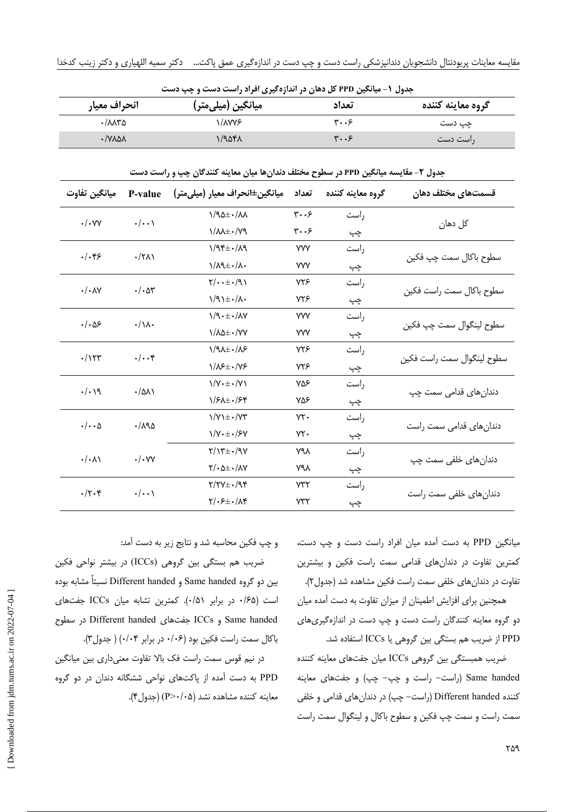|              | جدول ۱- میانگین PPD کل دهان در اندازهگیری افراد راست دست و چپ دست |       |                   |
|--------------|-------------------------------------------------------------------|-------|-------------------|
| انحراف معيار | ِ میانگین (میل <i>ی</i> متر)                                      | تعداد | گروه معاينه كننده |
| ۸۸۳۵-۰       | ۱/λ۷۷۶.                                                           | ۳۰۰۶  | چپ دست            |
| • AVY9Y      | ۱/۹۵۴۸                                                            | ۳۰۰۶  | راست دست          |

جدول ۲- مقایسه میانگین PPD در سطوح مختلف دندان ها میان معاینه کنندگان چپ و راست دست

| ميانگين تفاوت             | P-value              | ميانگين±انحراف معيار (ميلي متر)                           | تعداد                               | گروه معاينه كننده | قسمتهای مختلف دهان            |
|---------------------------|----------------------|-----------------------------------------------------------|-------------------------------------|-------------------|-------------------------------|
| $\cdot/\cdot$ YY          | $\cdot/\cdot\cdot$   | $1/90 \pm 1/11$                                           | $\mathbf{y} \cdot \cdot \mathbf{y}$ | راست              |                               |
|                           |                      | $\gamma/\lambda\lambda\pm\cdot/\gamma$                    | ۳۰۰۶                                | چپ                | کل دهان                       |
| $.  .$ ۴۶                 | $\cdot$ /۲۸)         | 1/95.1/19                                                 | <b>YVV</b>                          | راست              |                               |
|                           |                      | $\lambda/\lambda$ ۹ $\pm$ ۰/ $\lambda$ ۰                  | <b>YVV</b>                          | چپ                | سطوح باكال سمت چپ فكين        |
| $\cdot/\cdot \wedge \vee$ |                      | $\gamma/\cdots\pm\cdot/\gamma$                            | <b>VYS</b>                          | , است             |                               |
|                           | $\cdot/\cdot$ ar     | $1/9$ $\pm$ $\cdot$ / $\Lambda$ $\cdot$                   | ۷۲۶                                 | چپ                | سطوح باكال سمت راست فكين      |
| ۱۰۵۶.                     | $\cdot/\lambda$      | 1/9.1                                                     | <b>YVV</b>                          | راست              |                               |
|                           |                      | $1/\lambda\Delta\pm\cdot/\gamma\gamma$                    | <b>YVV</b>                          | چپ                | سطوح لينگوال سمت چپ فكين      |
| $\cdot/\gamma\tau$ ۳      | $\cdot/\cdot\cdot$ ۴ | $1/9$ $+1/8$                                              | <b>YYS</b>                          | راست              |                               |
|                           |                      | $1/\lambda$ ۶ $\pm$ $\cdot$ / $\gamma$ ۶                  | ۷۲۶                                 | چپ                | سطوح لينگوال سمت راست فكين    |
| $\cdot/\cdot$ 19          | $\cdot$ /۵۸۱         | $\frac{1}{V \cdot \pm \cdot V}$                           | ۷۵۶                                 | راست              |                               |
|                           |                      | $1/5$ $\pm$ $\cdot$ / $5$ ۴                               | ۷۵۶                                 | چپ                | دندانها <i>ی</i> قدامی سمت چپ |
| $\cdot/\cdot\cdot\Delta$  | ۱٬۸۹۵                | $\frac{1}{V}$ $\pm$ $\cdot$ / $\gamma$                    | $YY -$                              | , است             |                               |
|                           |                      | $1/Y \cdot \pm \cdot 75Y$                                 | $YY -$                              | چپ                | دندانهای قدامی سمت راست       |
| $\cdot/\cdot \wedge$      | $\cdot/\cdot$ YY     | $Y/Y^{\pm}$ ./98                                          | ۷۹λ                                 | راست              |                               |
|                           |                      | $\frac{1}{2} \cdot \Delta \pm \frac{1}{2} \cdot \Delta V$ | ۷۹۸                                 | چپ                | دندانهای خلفی سمت چپ          |
| $\cdot$ /۲۰۴              | $\cdot/\cdot\cdot$   | $Y/YY\pm I.98$                                            | v٣٢                                 | راست              |                               |
|                           |                      | $Y/\cdot 5\pm \cdot/\Lambda$ ۴                            | $Y^*Y$                              | چپ                | دندان های خلفی سمت راست       |

میانگین PPD به دست آمده میان افراد راست دست و چپ دست، کمترین تفاوت در دندانهای قدامی سمت راست فکین و بیشترین تفاوت در دندانهای خلفی سمت راست فکین مشاهده شد (جدول۲).

همچنین برای افزایش اطمینان از میزان تفاوت به دست آمده میان دو گروه معاینه کنندگان راست دست و چپ دست در اندازهگیریهای PPD از ضریب هم بستگی بین گروهی یا ICCs استفاده شد.

ضریب همبستگی بین گروهی ICCs میان جفتهای معاینه کننده Same handed (راست- راست و چپ- چپ) و جفتهای معاینه کننده Different handed (راست- چپ) در دندانهای قدامی و خلفی سمت راست و سمت چپ فکین و سطوح باکال و لینگوال سمت راست

و چپ فکین محاسبه شد و نتایج زیر به دست آمد: ضریب هم بستگی بین گروهی (ICCs) در بیشتر نواحی فکین بين دو گروه Same handed و Different handed نسبتاً مشابه بوده است (۶۵/۰ در برابر ۰/۵۱). کمترین تشابه میان ICCs جفتهای Same handed و ICCs جفتهاى Different handed در سطوح

باکال سمت راست فکین بود (١٠۶ در برابر ٠/٠۴) ( جدول٣).

در نیم قوس سمت راست فک بالا تفاوت معنیداری بین میانگین PPD به دست آمده از پاکتهای نواحی ششگانه دندان در دو گروه معاينه كننده مشاهده نشد (P>٠/٠۵) (جدول ۴).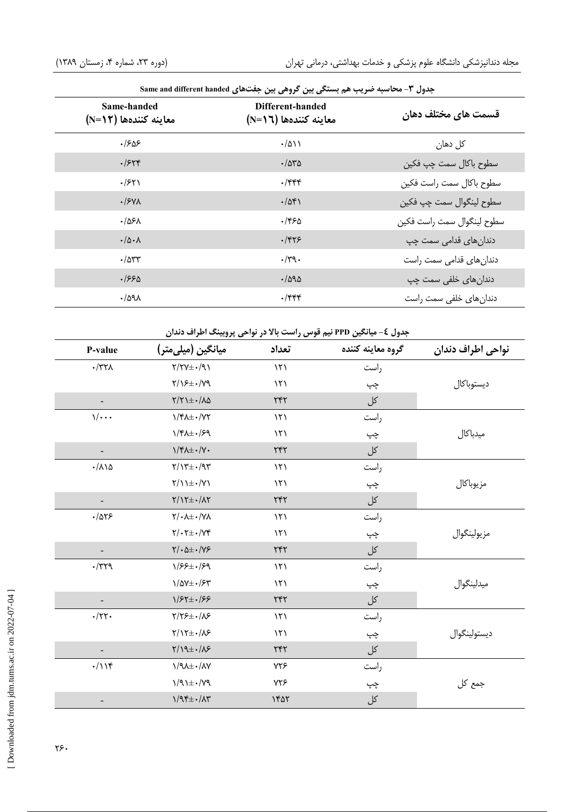| جدول ۳- محاسبه ضریب هم بستگی بین گروهی بین جفتهای Same and different handed |                                                                                       |                                |  |  |  |
|-----------------------------------------------------------------------------|---------------------------------------------------------------------------------------|--------------------------------|--|--|--|
| Same-handed<br>معاينه كنندهها (N=1۲)                                        | Different-handed<br>معاينه كنندهها (1 <n=)< th=""><th>قسمت های مختلف دهان</th></n=)<> | قسمت های مختلف دهان            |  |  |  |
| ۱۶۵۶.                                                                       | $\cdot$ /۵۱۱                                                                          | کل دهان                        |  |  |  |
| .7548                                                                       | $\cdot$ /550                                                                          | سطوح باكال سمت چپ فكين         |  |  |  |
| .751                                                                        | $.$ /۴۴۴                                                                              | سطوح باكال سمت راست فكين       |  |  |  |
| $\cdot$ / $\frac{1}{2}V\Lambda$                                             | $\cdot$ /54)                                                                          | سطوح لينگوال سمت چپ فكين       |  |  |  |
| ۰/۵۶۸                                                                       | ۱۴۶۵.                                                                                 | سطوح لينگوال سمت راست فكين     |  |  |  |
| $\cdot/\Delta \cdot \Lambda$                                                | $.$ /۴۲۶                                                                              | دندان ها <i>ی</i> قدامی سمت چپ |  |  |  |
| $\cdot$ / $\Delta$ ۳۳                                                       | $\cdot$ /۳۹ $\cdot$                                                                   | دندانهای قدامی سمت راست        |  |  |  |
| .1990                                                                       | .7890                                                                                 | دندان های خلفی سمت چپ          |  |  |  |
| $\cdot$ /591                                                                | $\cdot$ /۴۴۴                                                                          | دندانهای خلفی سمت راست         |  |  |  |

| جدول ٤- میانگین PPD نیم قوس راست بالا در نواحی پروبینگ اطراف دندان |                                 |                                                      |               |                   |                   |  |
|--------------------------------------------------------------------|---------------------------------|------------------------------------------------------|---------------|-------------------|-------------------|--|
|                                                                    | P-value                         | ميانگين (ميلي متر)                                   | تعداد         | گروه معاينه كننده | نواحي اطراف دندان |  |
|                                                                    | $\cdot$ /٣٢٨                    | $Y/YY\pm Y$                                          | $\mathcal{N}$ | راست              |                   |  |
|                                                                    |                                 | $Y/\sqrt{2}$ +/ $\sqrt{2}$                           | ۱۲۱           | چپ                | ديستوباكال        |  |
|                                                                    | $\qquad \qquad \blacksquare$    | $Y/Y$ ) $\pm$ . / $\Lambda$ $\Delta$                 | YYY           | کل                |                   |  |
|                                                                    | $\sqrt{\cdots}$                 | $\frac{1}{\sqrt{1-\frac{1}{2}}}$                     | $\mathcal{N}$ | راست              |                   |  |
|                                                                    |                                 | $1/F\lambda \pm 1/FQ$                                | $\mathcal{N}$ | چپ                | ميدباكال          |  |
|                                                                    |                                 | $\frac{1}{\sqrt{\epsilon}}\frac{1}{\sqrt{\epsilon}}$ | YYY           | کل                |                   |  |
|                                                                    | $\cdot/\lambda\backslash\Delta$ | $\gamma/\gamma\pm\cdot/\gamma\gamma$                 | $\mathcal{N}$ | راست              |                   |  |
|                                                                    |                                 | $Y/\lambda + \cdot/Y\lambda$                         | $\mathcal{N}$ | چپ                | مزيوباكال         |  |
|                                                                    |                                 | $\gamma/\gamma\pm\cdot/\lambda\gamma$                | YYY           | کل                |                   |  |
|                                                                    | .7055                           | $Y/\cdot \lambda \pm \cdot /Y \lambda$               | ۱۲۱           | راست              |                   |  |
|                                                                    |                                 | $\gamma/\cdot\gamma\pm\cdot/\gamma\gamma$            | $\mathcal{N}$ | چپ                | مزيولينگوال       |  |
|                                                                    |                                 | $Y/\cdot \Delta \pm \cdot /Y$ ۶                      | ٢۴٢           | کل                |                   |  |
|                                                                    | $\cdot$ /٣٢٩                    | $1/55 \pm 1/59$                                      | $\mathcal{N}$ | راست              |                   |  |
|                                                                    |                                 | $1/\Delta V \pm \frac{1}{2}\xi V$                    | $\mathcal{N}$ | چپ                | ميدلينگوال        |  |
|                                                                    |                                 | $1/57 \pm 1/55$                                      | $\tau$ ۴۲     | کل                |                   |  |
|                                                                    | $\cdot$ /٢٢.                    | $Y/Y$ ۶ $\pm$ $\cdot$ / $\lambda$ ۶                  | 151           | راست              |                   |  |
|                                                                    |                                 | $Y/Y\pm -/\lambda$ ۶                                 | $\mathcal{N}$ | چپ                | ديستولينگوال      |  |
|                                                                    |                                 | $Y/YQ\pm I/X$                                        | ٢۴٢           | کل                |                   |  |
|                                                                    | $\cdot/\iota$                   | $1/9\lambda \pm 1/\lambda V$                         | ۷۲۶           | راست              |                   |  |
|                                                                    |                                 | $\gamma$ /+ $\pm$                                    | ٧٢۶           | چپ                | جمع کل            |  |
|                                                                    |                                 | $1/95\pm.77$                                         | 1407          | کل                |                   |  |
|                                                                    |                                 |                                                      |               |                   |                   |  |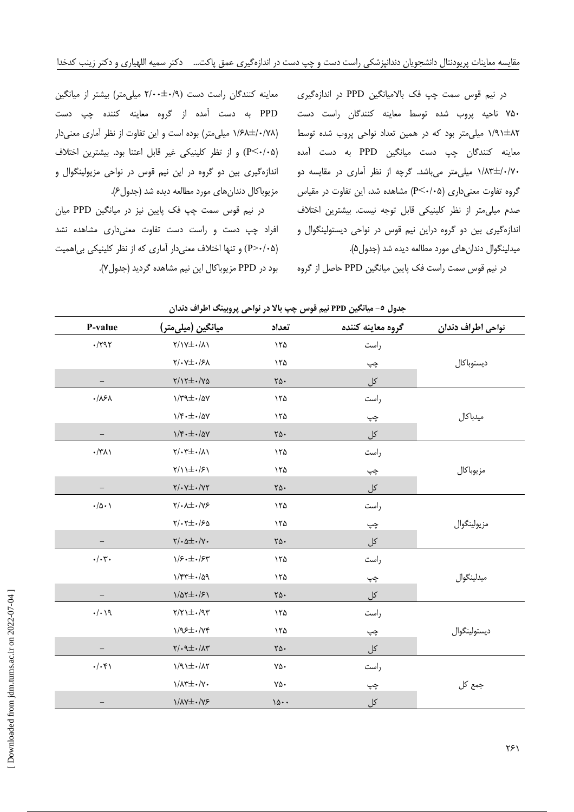معاینه کنندگان راست دست (۰/۹+±۲/۰۰ میلی متر) بیشتر از میانگین

PPD به دست آمده از گروه معاینه کننده چپ دست

(١/۶٨±١/۶٨ ميلي متر) بوده است و اين تفاوت از نظر آماري معنى دار

(P<٠/٠۵) و از تظر كلينيكي غير قابل اعتنا بود. بيشترين اختلاف

اندازهگیری بین دو گروه در این نیم قوس در نواحی مزیولینگوال و

در نیم قوس سمت چپ فک پایین نیز در میانگین PPD میان

افراد چپ دست و راست دست تفاوت معنی داری مشاهده نشد

(P>٠/٠۵) و تنها اختلاف معنی دار آماری که از نظر کلینیکی بی اهمیت

مزيوباكال دندانهاي مورد مطالعه ديده شد (جدول ۶).

بود در PPD مزیوباکال این نیم مشاهده گردید (جدول۷).

در نیم قوس سمت چپ فک بالامیانگین PPD در اندازهگیری ۷۵۰ ناحیه پروب شده توسط معاینه کنندگان راست دست ۸۲±۱/۹۱ میلی متر بود که در همین تعداد نواحی پروب شده توسط معاینه کنندگان چپ دست میانگین PPD به دست آمده ۰/۸۳±/۰/۷۰ میلی متر می باشد. گرچه از نظر آماری در مقایسه دو گروه تفاوت معنی داری (P<۰/۰۵) مشاهده شد، این تفاوت در مقیاس صدم میلی متر از نظر کلینیکی قابل توجه نیست. بیشترین اختلاف اندازهگیری بین دو گروه دراین نیم قوس در نواحی دیستولینگوال و میدلینگوال دندان های مورد مطالعه دیده شد (جدول۵).

در نیم قوس سمت راست فک پایین میانگین PPD حاصل از گروه

جدول ٥- ميانگين PPD نيم قوس چپ بالا در نواحي پروبينگ اطراف دندان P-value میانگین (میل<sub>ک</sub>متر) تعداد گروه معاينه كننده نواحى اطراف دندان  $.1797$  $Y/Y\pm \cdot / \Lambda$  $\Delta$ راست  $Y/\cdot Y \pm \cdot /5A$  $150$ ديستوباكال چپ  $Y/YE-VV$  $\equiv$  $\Upsilon\Delta$ . کل,  $.181$  $1/\text{rad} \cdot \text{rad}$  $150$ راست  $1/\mathfrak{r}\cdot\pm\cdot/\Delta V$ ميدباكال  $150$ چپ  $1/f \cdot \pm 1/\Delta V$ کل  $\equiv$  $\Upsilon\Delta$ .  $\cdot$ /٣٨١  $Y/\cdot Y \pm \cdot / \Lambda$  $150$ , است  $\gamma/\iota + \iota/\iota$  $150$ مزيوباكال چپ  $Y/\cdot Y \pm \cdot /YY$ کل,  $\mathsf{Y}\wedge\cdot$  $\cdot/\Delta \cdot$  $Y/\cdot \lambda \pm \cdot /Y5$  $150$ راست  $Y/\cdot Y \pm \cdot 150$  $150$ مز يولينگوال چپ  $Y/\cdot \Delta \pm \cdot /Y$ .  $\mathsf{Y}\Delta\cdot$ کل  $\cdot/\cdot$ ۳.  $1/5. \pm 1/5$ ۱۲۵ راست ميدلينگوال  $1/\mathfrak{r}$   $\pm$   $\cdot$  /09 ۱٢۵ چپ  $1/\Delta Y \pm 1/\epsilon$  $\gamma \Delta$ . کل  $\cdot/\cdot\vee$  $\gamma/\gamma + \cdot$ /9  $150$ راست  $1/95\pm$ ./YF ديستولينگوال  $\lambda$ چپ  $\overline{a}$  $\gamma/\cdot 9\pm\cdot/\Lambda$ ۳ کل  $\Upsilon\Delta$ .  $\cdot/\cdot$ ۴۱  $1/91\pm.71$  $V\Delta$ راست  $\frac{1}{\sqrt{2}}$  $V \wedge$ جمع کل چپ  $1/\lambda V \pm 1/V$ ۶  $10.4$ کل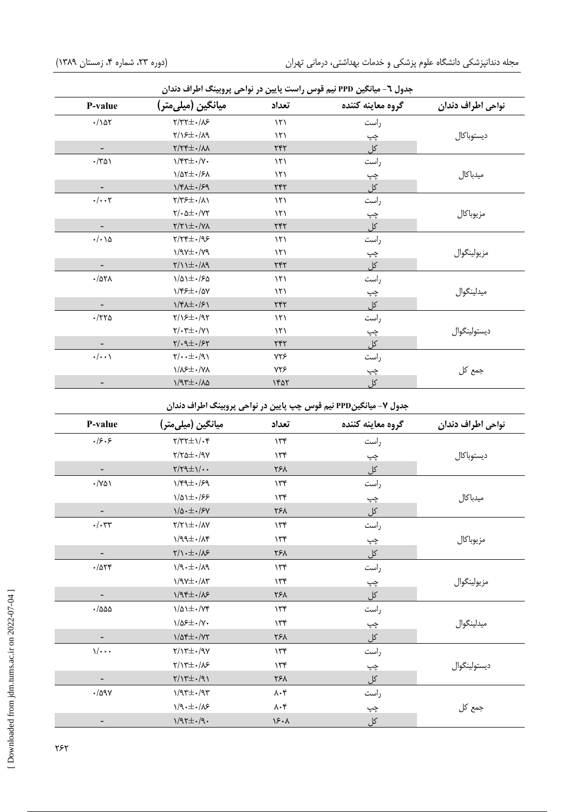| جدول ٦- میانگین PPD نیم قوس راست پایین در نواحی پروبینگ اطراف دندان |                                                       |                |                   |                   |  |
|---------------------------------------------------------------------|-------------------------------------------------------|----------------|-------------------|-------------------|--|
| P-value                                                             | ميانگين (ميلي متر)                                    | تعداد          | گروه معاينه كننده | نواحي اطراف دندان |  |
| $\cdot/\Delta\tau$                                                  | $Y/YY \pm -1/\lambda S$                               | $\mathcal{N}$  | راست              |                   |  |
|                                                                     | $Y/\sqrt{2}+\sqrt{2}$                                 | $\mathcal{N}$  | چپ                | ديستوباكال        |  |
|                                                                     | $Y/YY\pm \cdot/\lambda\lambda$                        | ٢۴٢            | کل                |                   |  |
| $\cdot$ /٣۵١                                                        | $\gamma/\sqrt{2}$                                     | $\binom{1}{1}$ | راست              |                   |  |
|                                                                     | $1/\Delta t \pm 1/\epsilon \lambda$                   | $\mathcal{N}$  | چپ                | ميدباكال          |  |
|                                                                     | $1/f\lambda\pm\frac{1}{2}g$                           | ٢۴٢            | <u>کل</u>         |                   |  |
| $\cdot/\cdot\cdot$ ٢                                                | $Y/Y$ ۶ $\pm$ ۰/۸۱                                    | $\mathcal{N}$  | راست              |                   |  |
|                                                                     | $\mathbf{Y}/\cdot\Delta\pm\cdot/\mathbf{Y}\mathbf{Y}$ | $\binom{1}{1}$ | چپ                | مزيوباكال         |  |
|                                                                     | $\gamma/\gamma$ + $\pm$ $\cdot/\gamma\lambda$         | ٢۴٢            | کل                |                   |  |
| $\cdot/\cdot \setminus \Delta$                                      | $Y/YY\pm \cdot$ /98                                   | $\mathcal{N}$  | راست              |                   |  |
|                                                                     | $\gamma$ /9 $\gamma \pm$ ./79                         | $\mathcal{N}$  | چپ                | مزيولينگوال       |  |
|                                                                     | $\gamma/\gamma + \gamma/\gamma$                       | ٢۴٢            | کل                |                   |  |
| $\cdot$ /۵۲۸                                                        | $1/\Delta$ $1\pm$ $\cdot$ / $5\Delta$                 | $\binom{1}{1}$ | راست              |                   |  |
|                                                                     | $1/85 \pm 1/80$                                       | $\mathcal{N}$  | چپ                | ميدلينگوال        |  |
|                                                                     | $1/\sqrt{2} \pm \frac{1}{2}$                          | $\tau$ ۴۲      | کل                |                   |  |
| $\cdot$ /٢٢۵                                                        | $Y/\sqrt{2}+\sqrt{2}Y$                                | $\mathcal{N}$  | راست              |                   |  |
|                                                                     | $\gamma/\cdot \tau \pm \cdot/\gamma \gamma$           | ۱۲۱            | چپ                | ديستولينگوال      |  |
|                                                                     | $\gamma/\cdot 9 \pm \cdot 7$                          | ٢۴٢            | کل                |                   |  |
| $\cdot/\cdot\cdot$                                                  | $\gamma/\cdot + \pm \cdot/\gamma$                     | ٧٢۶            | راست              |                   |  |
|                                                                     | <b>\/\&gt;±./Y\</b>                                   | ۷۲۶            | چپ                | جمع کل            |  |
|                                                                     | $1/97\pm.70$                                          | 1401           | <u>کل</u>         |                   |  |

جدول ۷– میانگینPPD نیم قوس چپ پایین در نواحی پروبینگ اطراف دندان

| P-value                      | میانگین (میلیمتر)                          | تعداد                        | گروه معاينه كننده | نواحي اطراف دندان |
|------------------------------|--------------------------------------------|------------------------------|-------------------|-------------------|
| .18.8                        | $\gamma/\gamma\gamma\pm1/\cdot\gamma$      | 156                          | راست              |                   |
|                              | $Y/Y\Delta\pm\cdot/9Y$                     | 156                          | چپ                | ديستوباكال        |
| $\overline{\phantom{a}}$     | $\gamma/\gamma\gamma\pm\gamma/\cdots$      | ۲۶۸                          | کل                |                   |
| $\cdot$ /YQ)                 | $1/49 \pm 1/59$                            | 156                          | راست              |                   |
|                              | $1/\Delta$ $\pm$ ./۶۶                      | 156                          | چپ                | ميدباكال          |
|                              | $1/\Delta \cdot \pm \cdot$ /۶ $Y$          | ۲۶۸                          | کل                |                   |
| $\cdot/\cdot$ ٣٣             | $Y/Y$ \ $\pm$ $\cdot$ / $\Lambda$ $\gamma$ | 156                          | راست              |                   |
|                              | $1/99\pm.78$                               | 156                          | چپ                | مزيوباكال         |
|                              | $\gamma/\sqrt{1+\pm\cdot/\lambda}$         | ۲۶۸                          | کل                |                   |
| $-7058$                      | $1/9. \pm 1/19$                            | 156                          | راست              |                   |
|                              | $1/9V\pm$ $\cdot/\Lambda$ ۳                | 156                          | چپ                | مزيولينگوال       |
| -                            | $1/95\pm.105$                              | ۲۶۸                          | کل                |                   |
| $\cdot$ /۵۵۵                 | $1/\Delta$ $\pm$ ./ $Y$ ۴                  | 156                          | راست              |                   |
|                              | $\frac{1}{2}$                              | 156                          | چپ                | ميدلينگوال        |
| $\qquad \qquad \blacksquare$ | $1/\Delta f \pm 1/\gamma f$                | ۲۶۸                          | کل                |                   |
| $\sqrt{\cdots}$              | $Y/Y^{\pm}$ ./9 $Y$                        | 156                          | راست              |                   |
|                              | $Y/Y^{\pm}$ ./ $x$                         | 156                          | چپ                | ديستولينگوال      |
|                              | $\gamma/\gamma\pm1.4$                      | ٢۶٨                          | کل                |                   |
| $\cdot$ /09 $\gamma$         | $1/97 \pm 1/97$                            | $\lambda \cdot \mathfrak{r}$ | راست              |                   |
|                              | $1/9. \pm 1/8$                             | $\lambda \cdot \xi$          | چپ                | جمع کل            |
| -                            | $1/97\pm.79$ .                             | $\lambda$ .                  | کل                |                   |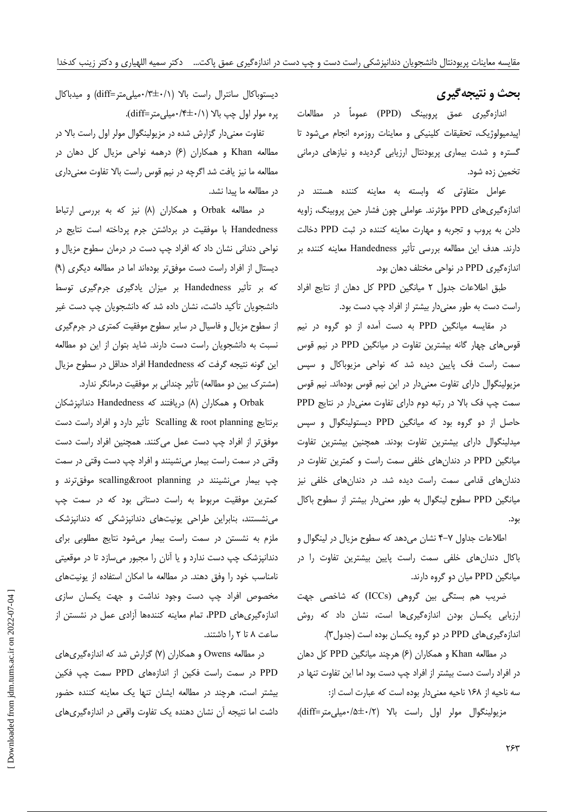# بحث و نتیجهگیری

اندازہگیری عمق پروبینگ (PPD) عموماً در مطالعات اپیدمیولوژیک، تحقیقات کلینیکی و معاینات روزمره انجام میشود تا گستره و شدت بیماری پریودنتال ارزیابی گردیده و نیازهای درمانی تخمین زده شود.

عوامل متفاوتی که وابسته به معاینه کننده هستند در اندازهگیریهای PPD مؤثرند. عواملی چون فشار حین پروبینگ، زاویه دادن به پروب و تجربه و مهارت معاینه کننده در ثبت PPD دخالت دارند. هدف این مطالعه بررسی تأثیر Handedness معاینه کننده بر اندازهگیری PPD در نواحی مختلف دهان بود.

طبق اطلاعات جدول ٢ ميانگين PPD كل دهان از نتايج افراد راست دست به طور معنى دار بيشتر از افراد چپ دست بود.

در مقایسه میانگین PPD به دست آمده از دو گروه در نیم قوس های چهار گانه بیشترین تفاوت در میانگین PPD در نیم قوس سمت راست فک پایین دیده شد که نواحی مزیوباکال و سپس مزیولینگوال دارای تفاوت معنیدار در این نیم قوس بودهاند. نیم قوس سمت چپ فک بالا در رتبه دوم دارای تفاوت معنیدار در نتایج PPD حاصل از دو گروه بود که میانگین PPD دیستولینگوال و سپس میدلینگوال دارای بیشترین تفاوت بودند. همچنین بیشترین تفاوت میانگین PPD در دندانهای خلفی سمت راست و کمترین تفاوت در دندان های قدامی سمت راست دیده شد. در دندان های خلفی نیز میانگین PPD سطوح لینگوال به طور معنیدار بیشتر از سطوح باکال بود.

اطلاعات جداول ٧-۴ نشان مىدهد كه سطوح مزيال در لينگوال و باکال دندانهای خلفی سمت راست پایین بیشترین تفاوت را در میانگین PPD میان دو گروه دارند.

ضریب هم بستگی بین گروهی (ICCs) که شاخصی جهت ارزیابی یکسان بودن اندازهگیریها است، نشان داد که روش اندازه گیری های PPD در دو گروه یکسان بوده است (جدول۳).

در مطالعه Khan و همکاران (۶) هرچند میانگین PPD کل دهان در افراد راست دست بیشتر از افراد چپ دست بود اما این تفاوت تنها در سه ناحیه از ۱۶۸ ناحیه معنی دار بوده است که عبارت است از:

مزیولینگوال مولر اول راست بالا (۰/۲+شلم)۰۰/۵+۰)،

دیستوباکال سانترال راست بالا (۰/۱+\*۰/میلی0متر=diff) و میدباکال پره مولر اول چپ بالا (١/٠٠\*/٠ميلي متر=diff).

تفاوت معنیدار گزارش شده در مزیولینگوال مولر اول راست بالا در مطالعه Khan و همکاران (۶) درهمه نواحی مزیال کل دهان در مطالعه ما نیز یافت شد اگرچه در نیم قوس راست بالا تفاوت معنیداری در مطالعه ما پيدا نشد.

در مطالعه Orbak و همکاران (۸) نیز که به بررسی ارتباط Handedness با موفقیت در برداشتن جرم پرداخته است نتایج در نواحی دندانی نشان داد که افراد چپ دست در درمان سطوح مزیال و دیستال از افراد راست دست موفق تر بودهاند اما در مطالعه دیگری (۹) که بر تأثیر Handedness بر میزان یادگیری جرمگیری توسط دانشجویان تأکید داشت، نشان داده شد که دانشجویان چپ دست غیر از سطوح مزیال و فاسیال در سایر سطوح موفقیت کمتری در جرم گیری نسبت به دانشجویان راست دست دارند. شاید بتوان از این دو مطالعه این گونه نتیجه گرفت که Handedness افراد حداقل در سطوح مزیال (مشترک بین دو مطالعه) تأثیر چندانی بر موفقیت درمانگر ندارد.

Orbak و همکاران (A) دریافتند که Handedness دندانپزشکان برنتايج Scalling & root planning تأثير دارد و افراد راست دست موفق تر از افراد چپ دست عمل میکنند. همچنین افراد راست دست وقتی در سمت راست بیمار مینشینند و افراد چپ دست وقتی در سمت چپ بیمار می:شینند در scalling&root planning موفق ترند و کمترین موفقیت مربوط به راست دستانی بود که در سمت چپ می نشستند، بنابراین طراحی یونیتهای دندانپزشکی که دندانپزشک ملزم به نشستن در سمت راست بیمار می شود نتایج مطلوبی برای دندانپزشک چپ دست ندارد و یا آنان را مجبور میسازد تا در موقعیتی نامناسب خود را وفق دهند. در مطالعه ما امکان استفاده از یونیتهای مخصوص افراد چپ دست وجود نداشت و جهت یکسان سازی اندازهگیریهای PPD، تمام معاینه کنندهها آزادی عمل در نشستن از ساعت ٨ تا ٢ را داشتند.

در مطالعه Owens و همکاران (۷) گزارش شد که اندازهگیریهای PPD در سمت راست فكين از اندازههاى PPD سمت چپ فكين بیشتر است، هرچند در مطالعه ایشان تنها یک معاینه کننده حضور داشت اما نتیجه آن نشان دهنده یک تفاوت واقعی در اندازهگیریهای